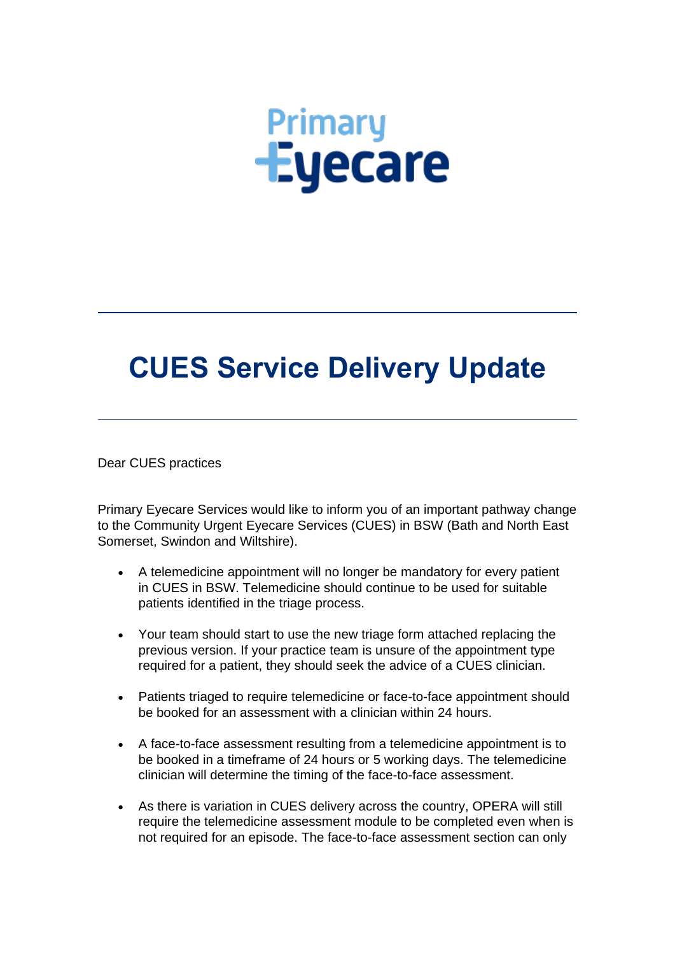## **Primary**<br> **Eyecare**

## **CUES Service Delivery Update**

Dear CUES practices

Primary Eyecare Services would like to inform you of an important pathway change to the Community Urgent Eyecare Services (CUES) in BSW (Bath and North East Somerset, Swindon and Wiltshire).

- A telemedicine appointment will no longer be mandatory for every patient in CUES in BSW. Telemedicine should continue to be used for suitable patients identified in the triage process.
- Your team should start to use the new triage form attached replacing the previous version. If your practice team is unsure of the appointment type required for a patient, they should seek the advice of a CUES clinician.
- Patients triaged to require telemedicine or face-to-face appointment should be booked for an assessment with a clinician within 24 hours.
- A face-to-face assessment resulting from a telemedicine appointment is to be booked in a timeframe of 24 hours or 5 working days. The telemedicine clinician will determine the timing of the face-to-face assessment.
- As there is variation in CUES delivery across the country, OPERA will still require the telemedicine assessment module to be completed even when is not required for an episode. The face-to-face assessment section can only